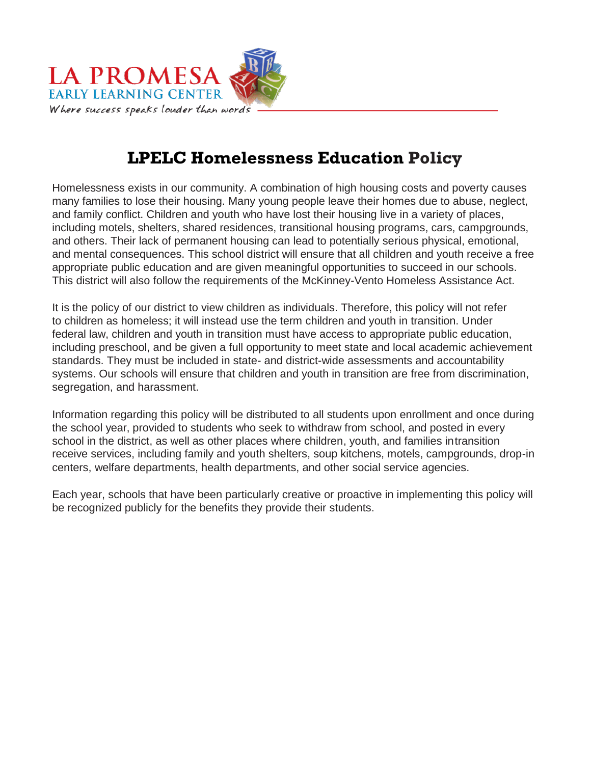

## **LPELC Homelessness Education Policy**

Homelessness exists in our community. A combination of high housing costs and poverty causes many families to lose their housing. Many young people leave their homes due to abuse, neglect, and family conflict. Children and youth who have lost their housing live in a variety of places, including motels, shelters, shared residences, transitional housing programs, cars, campgrounds, and others. Their lack of permanent housing can lead to potentially serious physical, emotional, and mental consequences. This school district will ensure that all children and youth receive a free appropriate public education and are given meaningful opportunities to succeed in our schools. This district will also follow the requirements of the McKinney-Vento Homeless Assistance Act.

It is the policy of our district to view children as individuals. Therefore, this policy will not refer to children as homeless; it will instead use the term children and youth in transition. Under federal law, children and youth in transition must have access to appropriate public education, including preschool, and be given a full opportunity to meet state and local academic achievement standards. They must be included in state- and district-wide assessments and accountability systems. Our schools will ensure that children and youth in transition are free from discrimination, segregation, and harassment.

Information regarding this policy will be distributed to all students upon enrollment and once during the school year, provided to students who seek to withdraw from school, and posted in every school in the district, as well as other places where children, youth, and families intransition receive services, including family and youth shelters, soup kitchens, motels, campgrounds, drop-in centers, welfare departments, health departments, and other social service agencies.

Each year, schools that have been particularly creative or proactive in implementing this policy will be recognized publicly for the benefits they provide their students.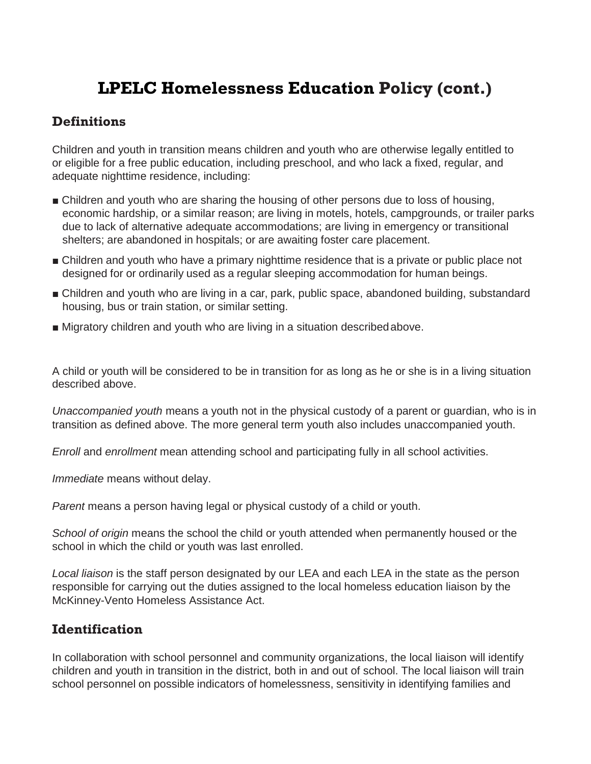### **Definitions**

Children and youth in transition means children and youth who are otherwise legally entitled to or eligible for a free public education, including preschool, and who lack a fixed, regular, and adequate nighttime residence, including:

- Children and youth who are sharing the housing of other persons due to loss of housing, economic hardship, or a similar reason; are living in motels, hotels, campgrounds, or trailer parks due to lack of alternative adequate accommodations; are living in emergency or transitional shelters; are abandoned in hospitals; or are awaiting foster care placement.
- Children and youth who have a primary nighttime residence that is a private or public place not designed for or ordinarily used as a regular sleeping accommodation for human beings.
- Children and youth who are living in a car, park, public space, abandoned building, substandard housing, bus or train station, or similar setting.
- Migratory children and youth who are living in a situation described above.

A child or youth will be considered to be in transition for as long as he or she is in a living situation described above.

*Unaccompanied youth* means a youth not in the physical custody of a parent or guardian, who is in transition as defined above. The more general term youth also includes unaccompanied youth.

*Enroll* and *enrollment* mean attending school and participating fully in all school activities.

*Immediate* means without delay.

*Parent* means a person having legal or physical custody of a child or youth.

*School of origin* means the school the child or youth attended when permanently housed or the school in which the child or youth was last enrolled.

Local liaison is the staff person designated by our LEA and each LEA in the state as the person responsible for carrying out the duties assigned to the local homeless education liaison by the McKinney-Vento Homeless Assistance Act.

#### **Identification**

In collaboration with school personnel and community organizations, the local liaison will identify children and youth in transition in the district, both in and out of school. The local liaison will train school personnel on possible indicators of homelessness, sensitivity in identifying families and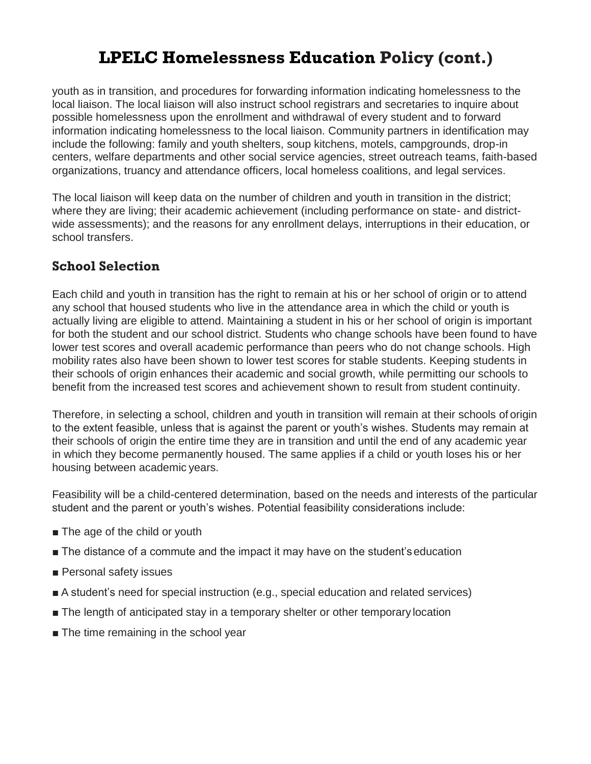youth as in transition, and procedures for forwarding information indicating homelessness to the local liaison. The local liaison will also instruct school registrars and secretaries to inquire about possible homelessness upon the enrollment and withdrawal of every student and to forward information indicating homelessness to the local liaison. Community partners in identification may include the following: family and youth shelters, soup kitchens, motels, campgrounds, drop-in centers, welfare departments and other social service agencies, street outreach teams, faith-based organizations, truancy and attendance officers, local homeless coalitions, and legal services.

The local liaison will keep data on the number of children and youth in transition in the district; where they are living; their academic achievement (including performance on state- and districtwide assessments); and the reasons for any enrollment delays, interruptions in their education, or school transfers.

### **School Selection**

Each child and youth in transition has the right to remain at his or her school of origin or to attend any school that housed students who live in the attendance area in which the child or youth is actually living are eligible to attend. Maintaining a student in his or her school of origin is important for both the student and our school district. Students who change schools have been found to have lower test scores and overall academic performance than peers who do not change schools. High mobility rates also have been shown to lower test scores for stable students. Keeping students in their schools of origin enhances their academic and social growth, while permitting our schools to benefit from the increased test scores and achievement shown to result from student continuity.

Therefore, in selecting a school, children and youth in transition will remain at their schools of origin to the extent feasible, unless that is against the parent or youth's wishes. Students may remain at their schools of origin the entire time they are in transition and until the end of any academic year in which they become permanently housed. The same applies if a child or youth loses his or her housing between academic years.

Feasibility will be a child-centered determination, based on the needs and interests of the particular student and the parent or youth's wishes. Potential feasibility considerations include:

- The age of the child or youth
- The distance of a commute and the impact it may have on the student's education
- Personal safety issues
- A student's need for special instruction (e.g., special education and related services)
- The length of anticipated stay in a temporary shelter or other temporary location
- The time remaining in the school year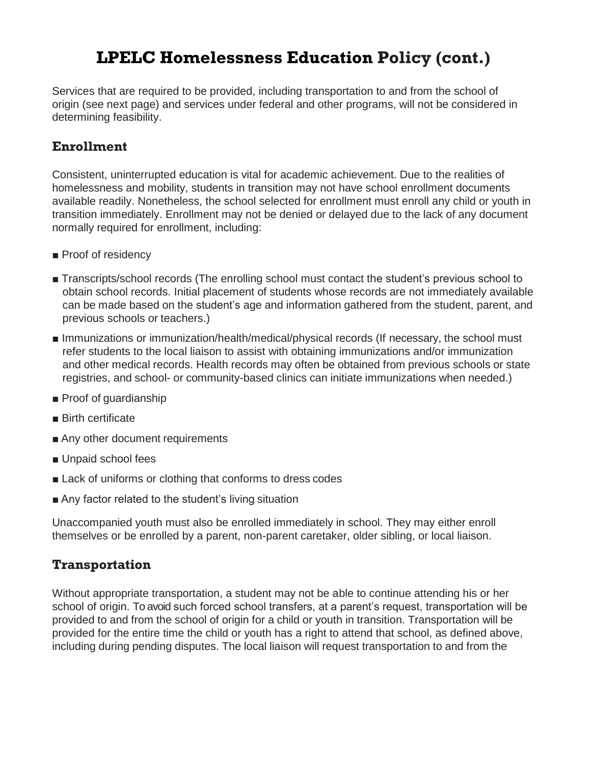Services that are required to be provided, including transportation to and from the school of origin (see next page) and services under federal and other programs, will not be considered in determining feasibility.

### **Enrollment**

Consistent, uninterrupted education is vital for academic achievement. Due to the realities of homelessness and mobility, students in transition may not have school enrollment documents available readily. Nonetheless, the school selected for enrollment must enroll any child or youth in transition immediately. Enrollment may not be denied or delayed due to the lack of any document normally required for enrollment, including:

- Proof of residency
- Transcripts/school records (The enrolling school must contact the student's previous school to obtain school records. Initial placement of students whose records are not immediately available can be made based on the student's age and information gathered from the student, parent, and previous schools or teachers.)
- Immunizations or immunization/health/medical/physical records (If necessary, the school must refer students to the local liaison to assist with obtaining immunizations and/or immunization and other medical records. Health records may often be obtained from previous schools or state registries, and school- or community-based clinics can initiate immunizations when needed.)
- Proof of guardianship
- Birth certificate
- Any other document requirements
- Unpaid school fees
- Lack of uniforms or clothing that conforms to dress codes
- Any factor related to the student's living situation

Unaccompanied youth must also be enrolled immediately in school. They may either enroll themselves or be enrolled by a parent, non-parent caretaker, older sibling, or local liaison.

#### **Transportation**

Without appropriate transportation, a student may not be able to continue attending his or her school of origin. To avoid such forced school transfers, at a parent's request, transportation will be provided to and from the school of origin for a child or youth in transition. Transportation will be provided for the entire time the child or youth has a right to attend that school, as defined above, including during pending disputes. The local liaison will request transportation to and from the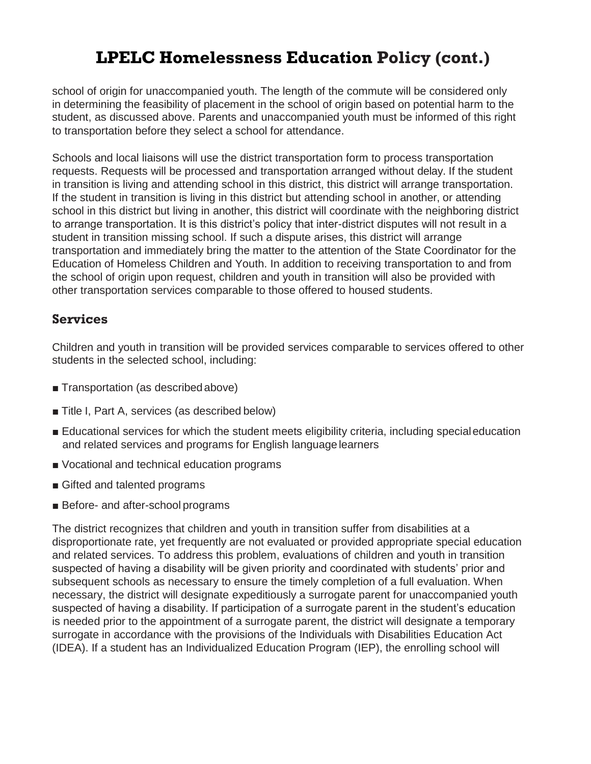school of origin for unaccompanied youth. The length of the commute will be considered only in determining the feasibility of placement in the school of origin based on potential harm to the student, as discussed above. Parents and unaccompanied youth must be informed of this right to transportation before they select a school for attendance.

Schools and local liaisons will use the district transportation form to process transportation requests. Requests will be processed and transportation arranged without delay. If the student in transition is living and attending school in this district, this district will arrange transportation. If the student in transition is living in this district but attending school in another, or attending school in this district but living in another, this district will coordinate with the neighboring district to arrange transportation. It is this district's policy that inter-district disputes will not result in a student in transition missing school. If such a dispute arises, this district will arrange transportation and immediately bring the matter to the attention of the State Coordinator for the Education of Homeless Children and Youth. In addition to receiving transportation to and from the school of origin upon request, children and youth in transition will also be provided with other transportation services comparable to those offered to housed students.

#### **Services**

Children and youth in transition will be provided services comparable to services offered to other students in the selected school, including:

- Transportation (as described above)
- Title I, Part A, services (as described below)
- Educational services for which the student meets eligibility criteria, including special education and related services and programs for English language learners
- Vocational and technical education programs
- Gifted and talented programs
- Before- and after-school programs

The district recognizes that children and youth in transition suffer from disabilities at a disproportionate rate, yet frequently are not evaluated or provided appropriate special education and related services. To address this problem, evaluations of children and youth in transition suspected of having a disability will be given priority and coordinated with students' prior and subsequent schools as necessary to ensure the timely completion of a full evaluation. When necessary, the district will designate expeditiously a surrogate parent for unaccompanied youth suspected of having a disability. If participation of a surrogate parent in the student's education is needed prior to the appointment of a surrogate parent, the district will designate a temporary surrogate in accordance with the provisions of the Individuals with Disabilities Education Act (IDEA). If a student has an Individualized Education Program (IEP), the enrolling school will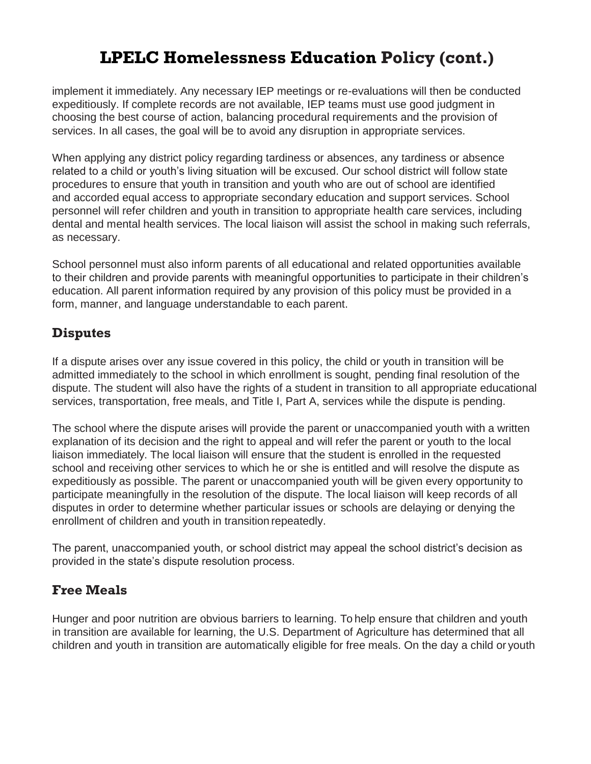implement it immediately. Any necessary IEP meetings or re-evaluations will then be conducted expeditiously. If complete records are not available, IEP teams must use good judgment in choosing the best course of action, balancing procedural requirements and the provision of services. In all cases, the goal will be to avoid any disruption in appropriate services.

When applying any district policy regarding tardiness or absences, any tardiness or absence related to a child or youth's living situation will be excused. Our school district will follow state procedures to ensure that youth in transition and youth who are out of school are identified and accorded equal access to appropriate secondary education and support services. School personnel will refer children and youth in transition to appropriate health care services, including dental and mental health services. The local liaison will assist the school in making such referrals, as necessary.

School personnel must also inform parents of all educational and related opportunities available to their children and provide parents with meaningful opportunities to participate in their children's education. All parent information required by any provision of this policy must be provided in a form, manner, and language understandable to each parent.

### **Disputes**

If a dispute arises over any issue covered in this policy, the child or youth in transition will be admitted immediately to the school in which enrollment is sought, pending final resolution of the dispute. The student will also have the rights of a student in transition to all appropriate educational services, transportation, free meals, and Title I, Part A, services while the dispute is pending.

The school where the dispute arises will provide the parent or unaccompanied youth with a written explanation of its decision and the right to appeal and will refer the parent or youth to the local liaison immediately. The local liaison will ensure that the student is enrolled in the requested school and receiving other services to which he or she is entitled and will resolve the dispute as expeditiously as possible. The parent or unaccompanied youth will be given every opportunity to participate meaningfully in the resolution of the dispute. The local liaison will keep records of all disputes in order to determine whether particular issues or schools are delaying or denying the enrollment of children and youth in transition repeatedly.

The parent, unaccompanied youth, or school district may appeal the school district's decision as provided in the state's dispute resolution process.

### **Free Meals**

Hunger and poor nutrition are obvious barriers to learning. To help ensure that children and youth in transition are available for learning, the U.S. Department of Agriculture has determined that all children and youth in transition are automatically eligible for free meals. On the day a child or youth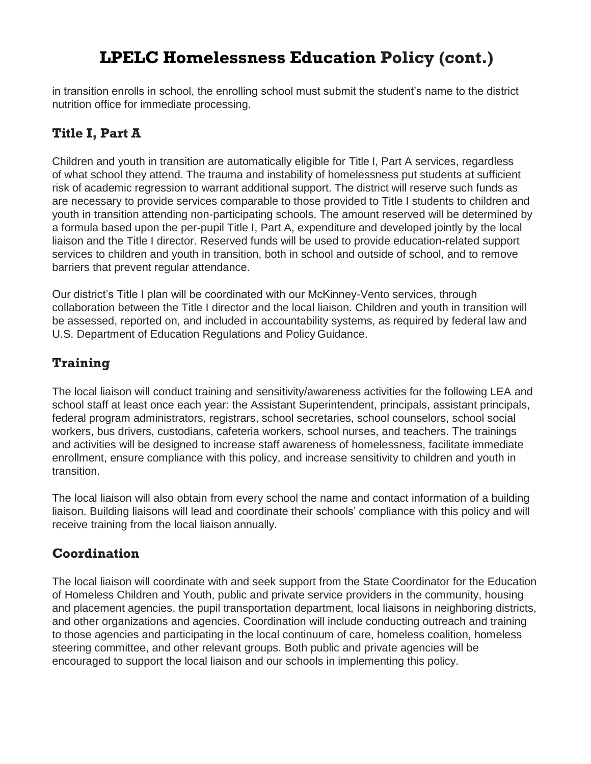in transition enrolls in school, the enrolling school must submit the student's name to the district nutrition office for immediate processing.

### **Title I, Part A**

Children and youth in transition are automatically eligible for Title I, Part A services, regardless of what school they attend. The trauma and instability of homelessness put students at sufficient risk of academic regression to warrant additional support. The district will reserve such funds as are necessary to provide services comparable to those provided to Title I students to children and youth in transition attending non-participating schools. The amount reserved will be determined by a formula based upon the per-pupil Title I, Part A, expenditure and developed jointly by the local liaison and the Title I director. Reserved funds will be used to provide education-related support services to children and youth in transition, both in school and outside of school, and to remove barriers that prevent regular attendance.

Our district's Title I plan will be coordinated with our McKinney-Vento services, through collaboration between the Title I director and the local liaison. Children and youth in transition will be assessed, reported on, and included in accountability systems, as required by federal law and U.S. Department of Education Regulations and Policy Guidance.

### **Training**

The local liaison will conduct training and sensitivity/awareness activities for the following LEA and school staff at least once each year: the Assistant Superintendent, principals, assistant principals, federal program administrators, registrars, school secretaries, school counselors, school social workers, bus drivers, custodians, cafeteria workers, school nurses, and teachers. The trainings and activities will be designed to increase staff awareness of homelessness, facilitate immediate enrollment, ensure compliance with this policy, and increase sensitivity to children and youth in transition.

The local liaison will also obtain from every school the name and contact information of a building liaison. Building liaisons will lead and coordinate their schools' compliance with this policy and will receive training from the local liaison annually.

### **Coordination**

The local liaison will coordinate with and seek support from the State Coordinator for the Education of Homeless Children and Youth, public and private service providers in the community, housing and placement agencies, the pupil transportation department, local liaisons in neighboring districts, and other organizations and agencies. Coordination will include conducting outreach and training to those agencies and participating in the local continuum of care, homeless coalition, homeless steering committee, and other relevant groups. Both public and private agencies will be encouraged to support the local liaison and our schools in implementing this policy.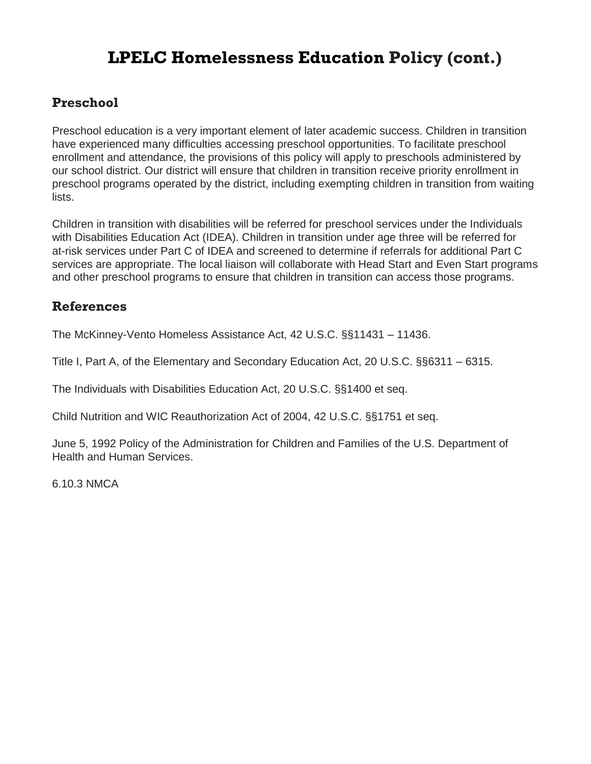### **Preschool**

Preschool education is a very important element of later academic success. Children in transition have experienced many difficulties accessing preschool opportunities. To facilitate preschool enrollment and attendance, the provisions of this policy will apply to preschools administered by our school district. Our district will ensure that children in transition receive priority enrollment in preschool programs operated by the district, including exempting children in transition from waiting lists.

Children in transition with disabilities will be referred for preschool services under the Individuals with Disabilities Education Act (IDEA). Children in transition under age three will be referred for at-risk services under Part C of IDEA and screened to determine if referrals for additional Part C services are appropriate. The local liaison will collaborate with Head Start and Even Start programs and other preschool programs to ensure that children in transition can access those programs.

#### **References**

The McKinney-Vento Homeless Assistance Act, 42 U.S.C. §§11431 – 11436.

Title I, Part A, of the Elementary and Secondary Education Act, 20 U.S.C. §§6311 – 6315.

The Individuals with Disabilities Education Act, 20 U.S.C. §§1400 et seq.

Child Nutrition and WIC Reauthorization Act of 2004, 42 U.S.C. §§1751 et seq.

June 5, 1992 Policy of the Administration for Children and Families of the U.S. Department of Health and Human Services.

6.10.3 NMCA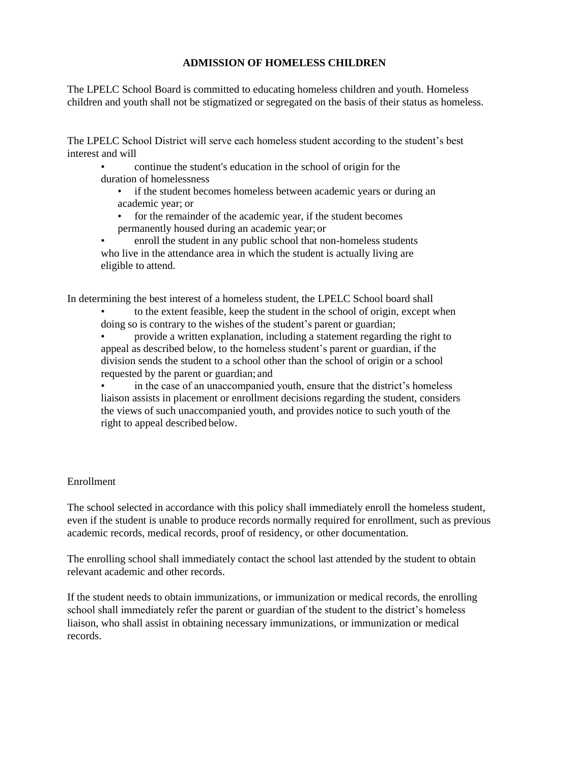#### **ADMISSION OF HOMELESS CHILDREN**

The LPELC School Board is committed to educating homeless children and youth. Homeless children and youth shall not be stigmatized or segregated on the basis of their status as homeless.

The LPELC School District will serve each homeless student according to the student's best interest and will

• continue the student's education in the school of origin for the duration of homelessness

• if the student becomes homeless between academic years or during an academic year; or

for the remainder of the academic year, if the student becomes permanently housed during an academic year; or

• enroll the student in any public school that non-homeless students who live in the attendance area in which the student is actually living are eligible to attend.

In determining the best interest of a homeless student, the LPELC School board shall

• to the extent feasible, keep the student in the school of origin, except when doing so is contrary to the wishes of the student's parent or guardian;

• provide a written explanation, including a statement regarding the right to appeal as described below, to the homeless student's parent or guardian, if the division sends the student to a school other than the school of origin or a school requested by the parent or guardian; and

in the case of an unaccompanied youth, ensure that the district's homeless liaison assists in placement or enrollment decisions regarding the student, considers the views of such unaccompanied youth, and provides notice to such youth of the right to appeal described below.

#### Enrollment

The school selected in accordance with this policy shall immediately enroll the homeless student, even if the student is unable to produce records normally required for enrollment, such as previous academic records, medical records, proof of residency, or other documentation.

The enrolling school shall immediately contact the school last attended by the student to obtain relevant academic and other records.

If the student needs to obtain immunizations, or immunization or medical records, the enrolling school shall immediately refer the parent or guardian of the student to the district's homeless liaison, who shall assist in obtaining necessary immunizations, or immunization or medical records.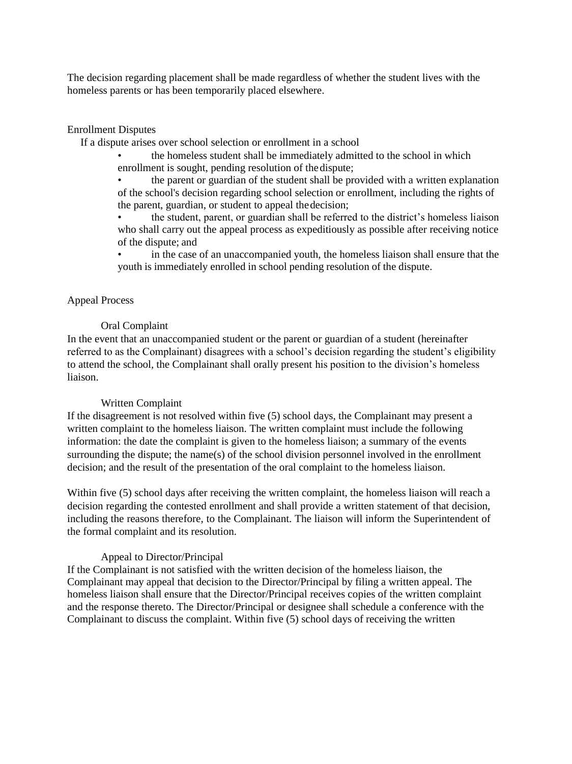The decision regarding placement shall be made regardless of whether the student lives with the homeless parents or has been temporarily placed elsewhere.

#### Enrollment Disputes

If a dispute arises over school selection or enrollment in a school

• the homeless student shall be immediately admitted to the school in which enrollment is sought, pending resolution of thedispute;

• the parent or guardian of the student shall be provided with a written explanation of the school's decision regarding school selection or enrollment, including the rights of the parent, guardian, or student to appeal thedecision;

• the student, parent, or guardian shall be referred to the district's homeless liaison who shall carry out the appeal process as expeditiously as possible after receiving notice of the dispute; and

in the case of an unaccompanied youth, the homeless liaison shall ensure that the youth is immediately enrolled in school pending resolution of the dispute.

#### Appeal Process

#### Oral Complaint

In the event that an unaccompanied student or the parent or guardian of a student (hereinafter referred to as the Complainant) disagrees with a school's decision regarding the student's eligibility to attend the school, the Complainant shall orally present his position to the division's homeless liaison.

#### Written Complaint

If the disagreement is not resolved within five (5) school days, the Complainant may present a written complaint to the homeless liaison. The written complaint must include the following information: the date the complaint is given to the homeless liaison; a summary of the events surrounding the dispute; the name(s) of the school division personnel involved in the enrollment decision; and the result of the presentation of the oral complaint to the homeless liaison.

Within five (5) school days after receiving the written complaint, the homeless liaison will reach a decision regarding the contested enrollment and shall provide a written statement of that decision, including the reasons therefore, to the Complainant. The liaison will inform the Superintendent of the formal complaint and its resolution.

#### Appeal to Director/Principal

If the Complainant is not satisfied with the written decision of the homeless liaison, the Complainant may appeal that decision to the Director/Principal by filing a written appeal. The homeless liaison shall ensure that the Director/Principal receives copies of the written complaint and the response thereto. The Director/Principal or designee shall schedule a conference with the Complainant to discuss the complaint. Within five (5) school days of receiving the written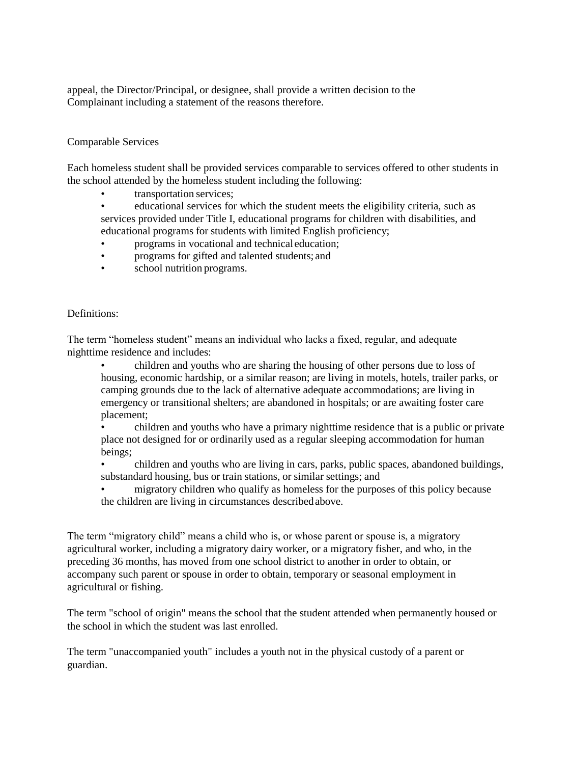appeal, the Director/Principal, or designee, shall provide a written decision to the Complainant including a statement of the reasons therefore.

#### Comparable Services

Each homeless student shall be provided services comparable to services offered to other students in the school attended by the homeless student including the following:

- transportation services;
- educational services for which the student meets the eligibility criteria, such as services provided under Title I, educational programs for children with disabilities, and educational programs for students with limited English proficiency;
- programs in vocational and technical education;
- programs for gifted and talented students; and
- school nutrition programs.

#### Definitions:

The term "homeless student" means an individual who lacks a fixed, regular, and adequate nighttime residence and includes:

• children and youths who are sharing the housing of other persons due to loss of housing, economic hardship, or a similar reason; are living in motels, hotels, trailer parks, or camping grounds due to the lack of alternative adequate accommodations; are living in emergency or transitional shelters; are abandoned in hospitals; or are awaiting foster care placement;

• children and youths who have a primary nighttime residence that is a public or private place not designed for or ordinarily used as a regular sleeping accommodation for human beings;

• children and youths who are living in cars, parks, public spaces, abandoned buildings, substandard housing, bus or train stations, or similar settings; and

• migratory children who qualify as homeless for the purposes of this policy because the children are living in circumstances describedabove.

The term "migratory child" means a child who is, or whose parent or spouse is, a migratory agricultural worker, including a migratory dairy worker, or a migratory fisher, and who, in the preceding 36 months, has moved from one school district to another in order to obtain, or accompany such parent or spouse in order to obtain, temporary or seasonal employment in agricultural or fishing.

The term "school of origin" means the school that the student attended when permanently housed or the school in which the student was last enrolled.

The term "unaccompanied youth" includes a youth not in the physical custody of a parent or guardian.